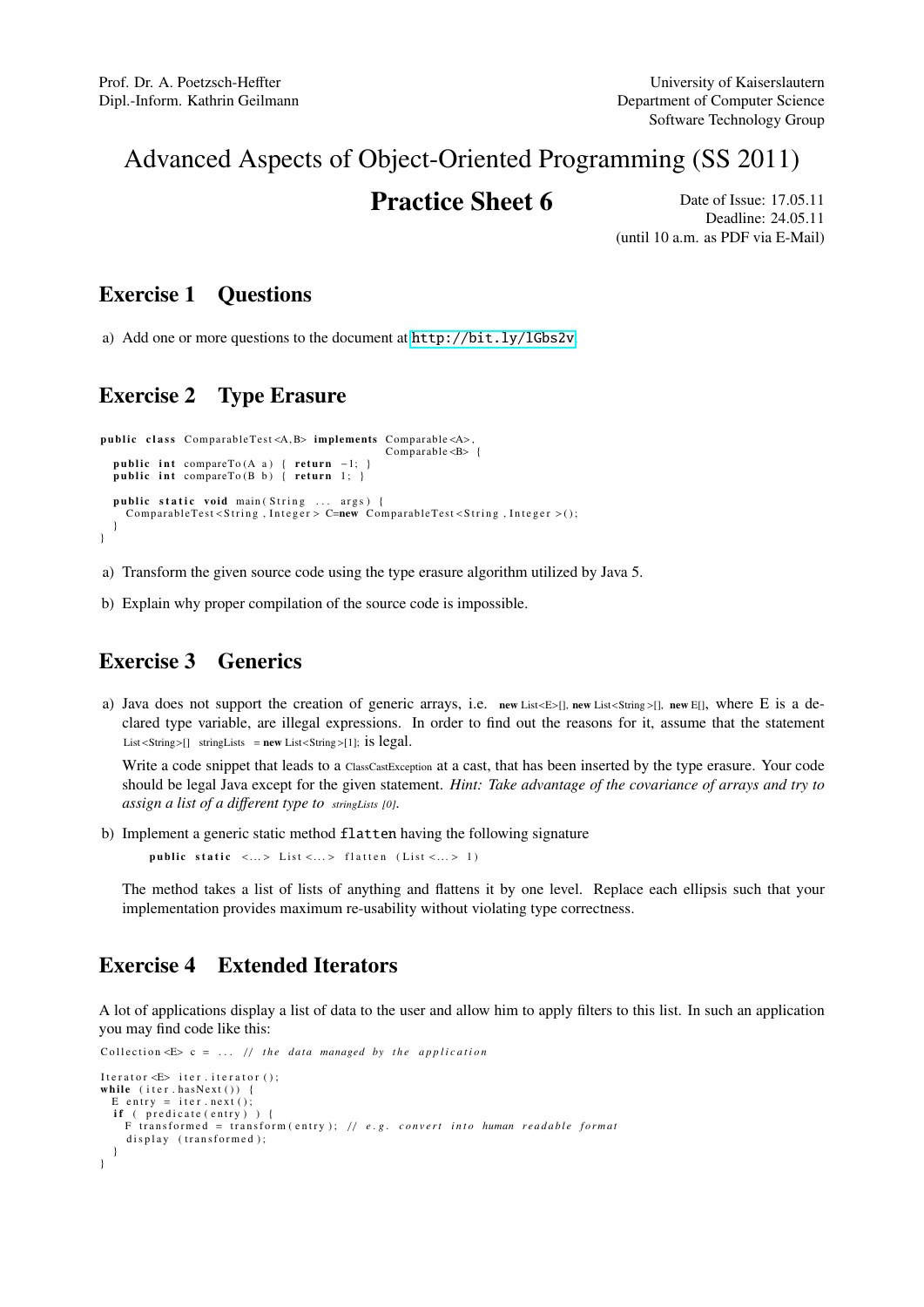# Advanced Aspects of Object-Oriented Programming (SS 2011)

**Practice Sheet 6** Date of Issue: 17.05.11 Deadline: 24.05.11 (until 10 a.m. as PDF via E-Mail)

#### Exercise 1 Questions

a) Add one or more questions to the document at <http://bit.ly/lGbs2v>.

## Exercise 2 Type Erasure

```
public class ComparableTest<A,B> implements Comparable<A>
                                                      Comparable < B>public int compareTo(A a) { return -1; }
  public int compareTo(B b) \{ return 1; \}public static void main(String ... args) {<br>ComparableTest<String,Integer> C=new ComparableTest<String,Integer>();
  }
}
```
- a) Transform the given source code using the type erasure algorithm utilized by Java 5.
- b) Explain why proper compilation of the source code is impossible.

### Exercise 3 Generics

a) Java does not support the creation of generic arrays, i.e. new List <E>[], new List  $\text{String} \geq 0$ , new E[], where E is a declared type variable, are illegal expressions. In order to find out the reasons for it, assume that the statement List < String>[] stringLists = new List < String >[1]; is legal.

Write a code snippet that leads to a ClassCastException at a cast, that has been inserted by the type erasure. Your code should be legal Java except for the given statement. *Hint: Take advantage of the covariance of arrays and try to assign a list of a di*ff*erent type to stringLists [0].*

b) Implement a generic static method flatten having the following signature

public static  $\langle ... \rangle$  List $\langle ... \rangle$  flatten (List $\langle ... \rangle$  1)

The method takes a list of lists of anything and flattens it by one level. Replace each ellipsis such that your implementation provides maximum re-usability without violating type correctness.

#### Exercise 4 Extended Iterators

A lot of applications display a list of data to the user and allow him to apply filters to this list. In such an application you may find code like this:

```
Collection <E> c = ... // the data managed by the application
Iterator \leq iter. iterator ();
while (i \text{ter } \ldots \text{hasNext}() ) {
  E entry = iter.next();
  if ( predicte(entry) ) {
    F transformed = transform (entry); // e.g. convert into human readable format
    display (transformed);
  }
}
```